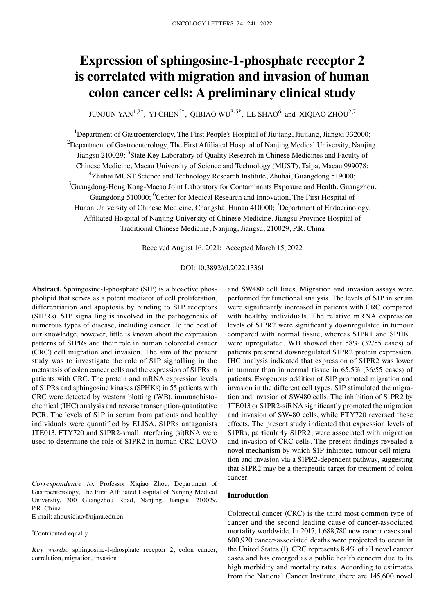# **Expression of sphingosine‑1‑phosphate receptor 2 is correlated with migration and invasion of human colon cancer cells: A preliminary clinical study**

JUNJUN YAN<sup>1,2\*</sup>, YI CHEN<sup>2\*</sup>, QIBIAO WU<sup>3-5\*</sup>, LE SHAO<sup>6</sup> and XIQIAO ZHOU<sup>2,7</sup>

<sup>1</sup>Department of Gastroenterology, The First People's Hospital of Jiujiang, Jiujiang, Jiangxi 332000;  $^2$ Department of Gastroenterology, The First Affiliated Hospital of Nanjing Medical University, Nanjing, Jiangsu 210029; <sup>3</sup>State Key Laboratory of Quality Research in Chinese Medicines and Faculty of Chinese Medicine, Macau University of Science and Technology (MUST), Taipa, Macau 999078; <sup>4</sup>Zhuhai MUST Science and Technology Research Institute, Zhuhai, Guangdong 519000; <sup>5</sup>Guangdong-Hong Kong-Macao Joint Laboratory for Contaminants Exposure and Health, Guangzhou, Guangdong 510000; <sup>6</sup>Center for Medical Research and Innovation, The First Hospital of Hunan University of Chinese Medicine, Changsha, Hunan 410000; <sup>7</sup>Department of Endocrinology, Affiliated Hospital of Nanjing University of Chinese Medicine, Jiangsu Province Hospital of Traditional Chinese Medicine, Nanjing, Jiangsu, 210029, P.R. China

Received August 16, 2021; Accepted March 15, 2022

# DOI: 10.3892/ol.2022.13361

Abstract. Sphingosine-1-phosphate (S1P) is a bioactive phospholipid that serves as a potent mediator of cell proliferation, differentiation and apoptosis by binding to S1P receptors (S1PRs). S1P signalling is involved in the pathogenesis of numerous types of disease, including cancer. To the best of our knowledge, however, little is known about the expression patterns of S1PRs and their role in human colorectal cancer (CRC) cell migration and invasion. The aim of the present study was to investigate the role of S1P signalling in the metastasis of colon cancer cells and the expression of S1PRs in patients with CRC. The protein and mRNA expression levels of S1PRs and sphingosine kinases (SPHKs) in 55 patients with CRC were detected by western blotting (WB), immunohistochemical (IHC) analysis and reverse transcription-quantitative PCR. The levels of S1P in serum from patients and healthy individuals were quantified by ELISA. S1PRs antagonists JTE013, FTY720 and S1PR2‑small interfering (si)RNA were used to determine the role of S1PR2 in human CRC LOVO

E‑mail: zhouxiqiao@njmu.edu.cn

\* Contributed equally

and SW480 cell lines. Migration and invasion assays were performed for functional analysis. The levels of S1P in serum were significantly increased in patients with CRC compared with healthy individuals. The relative mRNA expression levels of S1PR2 were significantly downregulated in tumour compared with normal tissue, whereas S1PR1 and SPHK1 were upregulated. WB showed that 58% (32/55 cases) of patients presented downregulated S1PR2 protein expression. IHC analysis indicated that expression of S1PR2 was lower in tumour than in normal tissue in 65.5% (36/55 cases) of patients. Exogenous addition of S1P promoted migration and invasion in the different cell types. S1P stimulated the migration and invasion of SW480 cells. The inhibition of S1PR2 by JTE013 or S1PR2‑siRNA significantly promoted the migration and invasion of SW480 cells, while FTY720 reversed these effects. The present study indicated that expression levels of S1PRs, particularly S1PR2, were associated with migration and invasion of CRC cells. The present findings revealed a novel mechanism by which S1P inhibited tumour cell migration and invasion via a S1PR2‑dependent pathway, suggesting that S1PR2 may be a therapeutic target for treatment of colon cancer.

### **Introduction**

Colorectal cancer (CRC) is the third most common type of cancer and the second leading cause of cancer‑associated mortality worldwide. In 2017, 1,688,780 new cancer cases and 600,920 cancer‑associated deaths were projected to occur in the United States (1). CRC represents 8.4% of all novel cancer cases and has emerged as a public health concern due to its high morbidity and mortality rates. According to estimates from the National Cancer Institute, there are 145,600 novel

*Correspondence to:* Professor Xiqiao Zhou, Department of Gastroenterology, The First Affiliated Hospital of Nanjing Medical University, 300 Guangzhou Road, Nanjing, Jiangsu, 210029, P.R. China

*Key words:* sphingosine‑1‑phosphate receptor 2, colon cancer, correlation, migration, invasion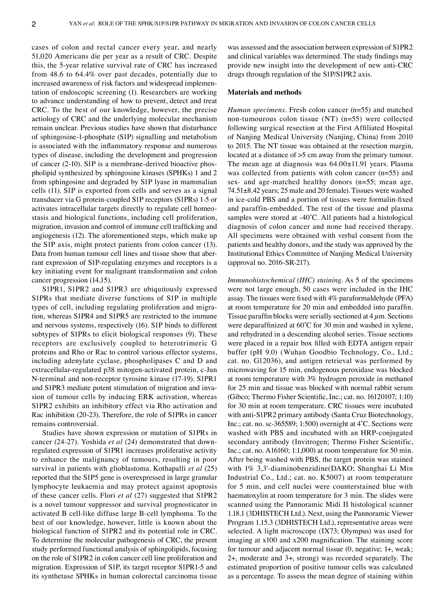cases of colon and rectal cancer every year, and nearly 51,020 Americans die per year as a result of CRC. Despite this, the 5‑year relative survival rate of CRC has increased from 48.6 to 64.4% over past decades, potentially due to increased awareness of risk factors and widespread implementation of endoscopic screening (1). Researchers are working to advance understanding of how to prevent, detect and treat CRC. To the best of our knowledge, however, the precise aetiology of CRC and the underlying molecular mechanism remain unclear. Previous studies have shown that disturbance of sphingosine‑1‑phosphate (S1P) signalling and metabolism is associated with the inflammatory response and numerous types of disease, including the development and progression of cancer (2-10). S1P is a membrane-derived bioactive phospholipid synthesized by sphingosine kinases (SPHKs) 1 and 2 from sphingosine and degraded by S1P lyase in mammalian cells (11). S1P is exported from cells and serves as a signal transducer via G protein‑coupled S1P receptors (S1PRs) 1‑5 or activates intracellular targets directly to regulate cell homeostasis and biological functions, including cell proliferation, migration, invasion and control of immune cell trafficking and angiogenesis (12). The aforementioned steps, which make up the S1P axis, might protect patients from colon cancer (13). Data from human tumour cell lines and tissue show that aberrant expression of S1P‑regulating enzymes and receptors is a key initiating event for malignant transformation and colon cancer progression (14,15).

S1PR1, S1PR2 and S1PR3 are ubiquitously expressed S1PRs that mediate diverse functions of S1P in multiple types of cell, including regulating proliferation and migration, whereas S1PR4 and S1PR5 are restricted to the immune and nervous systems, respectively (16). S1P binds to different subtypes of S1PRs to elicit biological responses (9). These receptors are exclusively coupled to heterotrimeric G proteins and Rho or Rac to control various effector systems, including adenylate cyclase, phospholipases C and D and extracellular-regulated p38 mitogen-activated protein, c-Jun N‑terminal and non‑receptor tyrosine kinase (17‑19). S1PR1 and S1PR3 mediate potent stimulation of migration and invasion of tumour cells by inducing ERK activation, whereas S1PR2 exhibits an inhibitory effect via Rho activation and Rac inhibition (20‑23). Therefore, the role of S1PRs in cancer remains controversial.

Studies have shown expression or mutation of S1PRs in cancer (24‑27). Yoshida *et al* (24) demonstrated that down‑ regulated expression of S1PR1 increases proliferative activity to enhance the malignancy of tumours, resulting in poor survival in patients with glioblastoma. Kothapalli *et al* (25) reported that the S1P5 gene is overexpressed in large granular lymphocyte leukaemia and may protect against apoptosis of these cancer cells. Flori *et al* (27) suggested that S1PR2 is a novel tumour suppressor and survival prognosticator in activated B cell-like diffuse large B-cell lymphoma. To the best of our knowledge, however, little is known about the biological function of S1PR2 and its potential role in CRC. To determine the molecular pathogenesis of CRC, the present study performed functional analysis of sphingolipids, focusing on the role of S1PR2 in colon cancer cell line proliferation and migration. Expression of S1P, its target receptor S1PR1‑5 and its synthetase SPHKs in human colorectal carcinoma tissue was assessed and the association between expression of S1PR2 and clinical variables was determined. The study findings may provide new insight into the development of new anti‑CRC drugs through regulation of the S1P/S1PR2 axis.

# **Materials and methods**

*Human specimens.* Fresh colon cancer (n=55) and matched non-tumourous colon tissue (NT)  $(n=55)$  were collected following surgical resection at the First Affiliated Hospital of Nanjing Medical University (Nanjing, China) from 2010 to 2015. The NT tissue was obtained at the resection margin, located at a distance of >5 cm away from the primary tumour. The mean age at diagnosis was 64.00±11.91 years. Plasma was collected from patients with colon cancer (n=55) and sex- and age-matched healthy donors (n=55; mean age, 74.51±8.42 years; 25 male and 20 female). Tissues were washed in ice-cold PBS and a portion of tissues were formalin-fixed and paraffin‑embedded. The rest of the tissue and plasma samples were stored at -40°C. All patients had a histological diagnosis of colon cancer and none had received therapy. All specimens were obtained with verbal consent from the patients and healthy donors, and the study was approved by the Institutional Ethics Committee of Nanjing Medical University (approval no. 2016‑SR‑217).

*Immunohistochemical (IHC) staining.* As 5 of the specimens were not large enough, 50 cases were included in the IHC assay. The tissues were fixed with 4% paraformaldehyde (PFA) at room temperature for 20 min and embedded into paraffin. Tissue paraffin blocks were serially sectioned at  $4 \mu$ m. Sections were deparaffinized at 60°C for 30 min and washed in xylene, and rehydrated in a descending alcohol series. Tissue sections were placed in a repair box filled with EDTA antigen repair buffer (pH 9.0) (Wuhan Goodbio Technology, Co., Ltd.; cat. no. G12036), and antigen retrieval was performed by microwaving for 15 min, endogenous peroxidase was blocked at room temperature with 3% hydrogen peroxide in methanol for 25 min and tissue was blocked with normal rabbit serum (Gibco; Thermo Fisher Scientific, Inc.; cat. no. 16120107; 1:10) for 30 min at room temperature. CRC tissues were incubated with anti-S1PR2 primary antibody (Santa Cruz Biotechnology, Inc.; cat. no. sc-365589; 1:500) overnight at 4°C. Sections were washed with PBS and incubated with an HRP-conjugated secondary antibody (Invitrogen; Thermo Fisher Scientific, Inc.; cat. no. A16160; 1:1,000) at room temperature for 50 min. After being washed with PBS, the target protein was stained with 1% 3,3'‑diaminobenzidine(DAKO; Shanghai Li Min Industrial Co., Ltd.; cat. no. K5007) at room temperature for 5 min, and cell nuclei were counterstained blue with haematoxylin at room temperature for 3 min. The slides were scanned using the Pannoramic Midi II histological scanner 1.18.1 (3DHISTECH Ltd.). Next, using the Pannoramic Viewer Program 1.15.3 (3DHISTECH Ltd.), representative areas were selected. A light microscope (IX73; Olympus) was used for imaging at x100 and x200 magnification. The staining score for tumour and adjacent normal tissue (0, negative; 1+, weak; 2+, moderate and 3+, strong) was recorded separately. The estimated proportion of positive tumour cells was calculated as a percentage. To assess the mean degree of staining within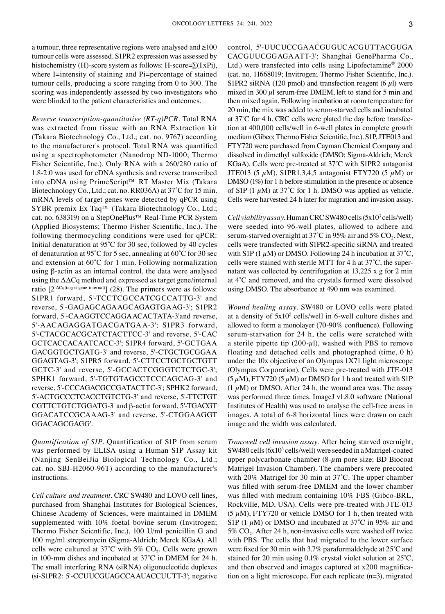a tumour, three representative regions were analysed and ≥100 tumour cells were assessed. S1PR2 expression was assessed by histochemistry (H)-score system as follows: H-score= $\Sigma(IxPi)$ , where I=intensity of staining and Pi=percentage of stained tumour cells, producing a score ranging from 0 to 300. The scoring was independently assessed by two investigators who were blinded to the patient characteristics and outcomes.

*Reverse transcription‑quantitative (RT‑q)PCR.* Total RNA was extracted from tissue with an RNA Extraction kit (Takara Biotechnology Co., Ltd.; cat. no. 9767) according to the manufacturer's protocol. Total RNA was quantified using a spectrophotometer (Nanodrop ND‑1000; Thermo Fisher Scientific, Inc.). Only RNA with a 260/280 ratio of 1.8‑2.0 was used for cDNA synthesis and reverse transcribed into cDNA using PrimeScript™ RT Master Mix (Takara Biotechnology Co., Ltd.; cat. no. RR036A) at 37˚C for 15 min. mRNA levels of target genes were detected by qPCR using SYBR premix Ex Taq™ (Takara Biotechnology Co., Ltd.; cat. no. 638319) on a StepOnePlus™ Real‑Time PCR System (Applied Biosystems; Thermo Fisher Scientific, Inc.). The following thermocycling conditions were used for qPCR: Initial denaturation at 95˚C for 30 sec, followed by 40 cycles of denaturation at 95˚C for 5 sec, annealing at 60˚C for 30 sec and extension at 60˚C for 1 min. Following normalization using β‑actin as an internal control, the data were analysed using the  $\Delta\Delta Cq$  method and expressed as target gene/internal ratio  $[2^{\Delta Cq \text{(target gene-internal)}}]$  (28). The primers were as follows: S1PR1 forward, 5'-TCCTCGCCATCGCCATTG-3' and reverse, 5'‑GAGAGCAGAAGCAGAGTGAAG‑3'; S1PR2 forward, 5'‑CAAGGTCCAGGAACACTATA‑3'and reverse, 5'‑AACAGAGGATGACGATGAA‑3'; S1PR3 forward, 5'‑CTACGCACGCATCTACTTCC‑3' and reverse, 5'‑CAC GCTCACCACAATCACC‑3'; S1PR4 forward, 5'‑GCTGAA GACGGTGCTGATG‑3' and reverse, 5'‑CTGCTGCGGAA GGAGTAG‑3'; S1PR5 forward, 5'‑CTTCCTGCTGCTGTT GCTC‑3' and reverse, 5'‑GCCACTCGGGTCTCTGC‑3'; SPHK1 forward, 5'-TGTGTAGCCTCCCAGCAG-3' and reverse, 5'‑CCCAGACGCCGATACTTC‑3'; SPHK2 forward, 5'‑ACTGCCCTCACCTGTCTG‑3' and reverse, 5'‑TTCTGT CGTTCTGTCTGGATG‑3' and β‑actin forward, 5'‑TGACGT GGACATCCGCAAAG‑3' and reverse, 5'‑CTGGAAGGT GGACAGCGAGG'.

*Quantification of S1P.* Quantification of S1P from serum was performed by ELISA using a Human S1P Assay kit (Nanjing SenBeiJia Biological Technology Co., Ltd.; cat. no. SBJ‑H2060‑96T) according to the manufacturer's instructions.

*Cell culture and treatment.* CRC SW480 and LOVO cell lines, purchased from Shanghai Institutes for Biological Sciences, Chinese Academy of Sciences, were maintained in DMEM supplemented with 10% foetal bovine serum (Invitrogen; Thermo Fisher Scientific, Inc.), 100 U/ml penicillin G and 100 mg/ml streptomycin (Sigma‑Aldrich; Merck KGaA). All cells were cultured at 37°C with 5%  $CO<sub>2</sub>$ . Cells were grown in 100‑mm dishes and incubated at 37˚C in DMEM for 24 h. The small interfering RNA (siRNA) oligonucleotide duplexes (si‑S1PR2: 5'‑CCUUCGUAGCCAAUACCUUTT‑3'; negative control, 5'‑UUCUCCGAACGUGUCACGUTTACGUGA CACGUUCGGAGAATT‑3'; Shanghai GenePharma Co., Ltd.) were transfected into cells using Lipofectamine® 2000 (cat. no. 11668019; Invitrogen; Thermo Fisher Scientific, Inc.). S1PR2 siRNA (120 pmol) and transfection reagent (6  $\mu$ l) were mixed in 300  $\mu$ l serum-free DMEM, left to stand for 5 min and then mixed again. Following incubation at room temperature for 20 min, the mix was added to serum‑starved cells and incubated at  $37^{\circ}$ C for 4 h. CRC cells were plated the day before transfection at 400,000 cells/well in 6‑well plates in complete growth medium (Gibco; Thermo Fisher Scientific, Inc.). S1P, JTE013 and FTY720 were purchased from Cayman Chemical Company and dissolved in dimethyl sulfoxide (DMSO; Sigma‑Aldrich; Merck KGaA). Cells were pre‑treated at 37˚C with S1PR2 antagonist JTE013 (5  $\mu$ M), S1PR1,3,4,5 antagonist FTY720 (5  $\mu$ M) or DMSO (1%) for 1 h before stimulation in the presence or absence of S1P (1  $\mu$ M) at 37°C for 1 h. DMSO was applied as vehicle. Cells were harvested 24 h later for migration and invasion assay.

*Cell viability assay.* Human CRC SW480 cells (5x10<sup>3</sup> cells/well) were seeded into 96‑well plates, allowed to adhere and serum-starved overnight at  $37^{\circ}$ C in 95% air and 5% CO<sub>2</sub>. Next, cells were transfected with S1PR2‑specific siRNA and treated with S1P (1  $\mu$ M) or DMSO. Following 24 h incubation at 37°C, cells were stained with sterile MTT for 4 h at  $37^{\circ}$ C, the supernatant was collected by centrifugation at 13,225 x g for 2 min at 4˚C and removed, and the crystals formed were dissolved using DMSO. The absorbance at 490 nm was examined.

*Wound healing assay.* SW480 or LOVO cells were plated at a density of  $5x10^5$  cells/well in 6-well culture dishes and allowed to form a monolayer (70‑90% confluence). Following serum‑starvation for 24 h, the cells were scratched with a sterile pipette tip  $(200-\mu l)$ , washed with PBS to remove floating and detached cells and photographed (time, 0 h) under the 10x objective of an Olympus 1X71 light microscope (Olympus Corporation). Cells were pre‑treated with JTE‑013  $(5 \mu M)$ , FTY720  $(5 \mu M)$  or DMSO for 1 h and treated with S1P  $(1 \mu M)$  or DMSO. After 24 h, the wound area was. The assay was performed three times. ImageJ v1.8.0 software (National Institutes of Health) was used to analyse the cell‑free areas in images. A total of 6‑8 horizontal lines were drawn on each image and the width was calculated.

*Transwell cell invasion assay.* After being starved overnight, SW480 cells  $(6x10<sup>3</sup>$  cells/well) were seeded in a Matrigel-coated upper polycarbonate chamber  $(8-\mu m)$  pore size; BD Biocoat Matrigel Invasion Chamber). The chambers were precoated with 20% Matrigel for 30 min at 37˚C. The upper chamber was filled with serum-free DMEM and the lower chamber was filled with medium containing 10% FBS (Gibco-BRL, Rockville, MD, USA). Cells were pre-treated with JTE-013  $(5 \mu M)$ , FTY720 or vehicle DMSO for 1 h, then treated with S1P (1  $\mu$ M) or DMSO and incubated at 37°C in 95% air and 5%  $CO<sub>2</sub>$ . After 24 h, non-invasive cells were washed off twice with PBS. The cells that had migrated to the lower surface were fixed for 30 min with 3.7% paraformaldehyde at 25˚C and stained for 20 min using 0.1% crystal violet solution at 25˚C, and then observed and images captured at  $x200$  magnification on a light microscope. For each replicate (n=3), migrated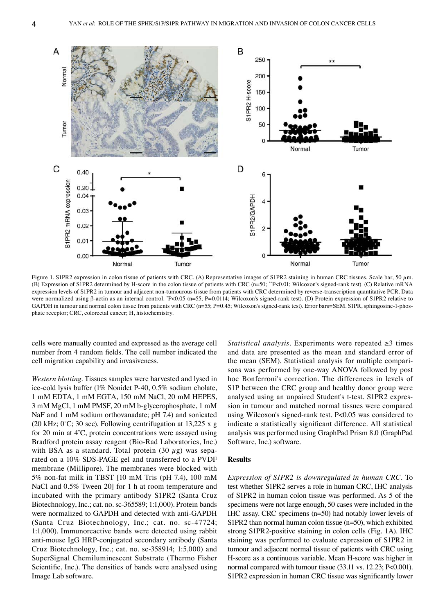

Figure 1. S1PR2 expression in colon tissue of patients with CRC. (A) Representative images of S1PR2 staining in human CRC tissues. Scale bar, 50  $\mu$ m. (B) Expression of S1PR2 determined by H-score in the colon tissue of patients with CRC (n=50; \*\*P<0.01; Wilcoxon's signed-rank test). (C) Relative mRNA expression levels of S1PR2 in tumour and adjacent non-tumourous tissue from patients with CRC determined by reverse-transcription quantitative PCR. Data were normalized using β-actin as an internal control. \*P<0.05 (n=55; P=0.0114; Wilcoxon's signed-rank test). (D) Protein expression of S1PR2 relative to GAPDH in tumour and normal colon tissue from patients with CRC (n=55; P=0.45; Wilcoxon's signed-rank test). Error bars=SEM. S1PR, sphingosine-1-phosphate receptor; CRC, colorectal cancer; H, histochemistry.

cells were manually counted and expressed as the average cell number from 4 random fields. The cell number indicated the cell migration capability and invasiveness.

*Western blotting.* Tissues samples were harvested and lysed in ice‑cold lysis buffer (1% Nonidet P‑40, 0.5% sodium cholate, 1 mM EDTA, 1 mM EGTA, 150 mM NaCl, 20 mM HEPES, 3 mM MgCl, 1 mM PMSF, 20 mM b‑glycerophosphate, 1 mM NaF and 1 mM sodium orthovanadate; pH 7.4) and sonicated (20 kHz;  $0^{\circ}$ C; 30 sec). Following centrifugation at 13,225 x g for 20 min at 4˚C, protein concentrations were assayed using Bradford protein assay reagent (Bio‑Rad Laboratories, Inc.) with BSA as a standard. Total protein (30  $\mu$ g) was separated on a 10% SDS‑PAGE gel and transferred to a PVDF membrane (Millipore). The membranes were blocked with 5% non‑fat milk in TBST [10 mM Tris (pH 7.4), 100 mM NaCl and 0.5% Tween 20] for 1 h at room temperature and incubated with the primary antibody S1PR2 (Santa Cruz Biotechnology, Inc.; cat. no. sc-365589; 1:1,000). Protein bands were normalized to GAPDH and detected with anti‑GAPDH (Santa Cruz Biotechnology, Inc.; cat. no. sc‑47724; 1:1,000). Immunoreactive bands were detected using rabbit anti‑mouse IgG HRP‑conjugated secondary antibody (Santa Cruz Biotechnology, Inc.; cat. no. sc‑358914; 1:5,000) and SuperSignal Chemiluminescent Substrate (Thermo Fisher Scientific, Inc.). The densities of bands were analysed using Image Lab software.

*Statistical analysis.* Experiments were repeated ≥3 times and data are presented as the mean and standard error of the mean (SEM). Statistical analysis for multiple comparisons was performed by one‑way ANOVA followed by post hoc Bonferroni's correction. The differences in levels of S1P between the CRC group and healthy donor group were analysed using an unpaired Student's t-test. S1PR2 expression in tumour and matched normal tissues were compared using Wilcoxon's signed-rank test. P<0.05 was considered to indicate a statistically significant difference. All statistical analysis was performed using GraphPad Prism 8.0 (GraphPad Software, Inc.) software.

#### **Results**

*Expression of S1PR2 is downregulated in human CRC.* To test whether S1PR2 serves a role in human CRC, IHC analysis of S1PR2 in human colon tissue was performed. As 5 of the specimens were not large enough, 50 cases were included in the IHC assay. CRC specimens (n=50) had notably lower levels of S1PR2 than normal human colon tissue (n=50), which exhibited strong S1PR2‑positive staining in colon cells (Fig. 1A). IHC staining was performed to evaluate expression of S1PR2 in tumour and adjacent normal tissue of patients with CRC using H‑score as a continuous variable. Mean H‑score was higher in normal compared with tumour tissue (33.11 vs. 12.23; P<0.001). S1PR2 expression in human CRC tissue was significantly lower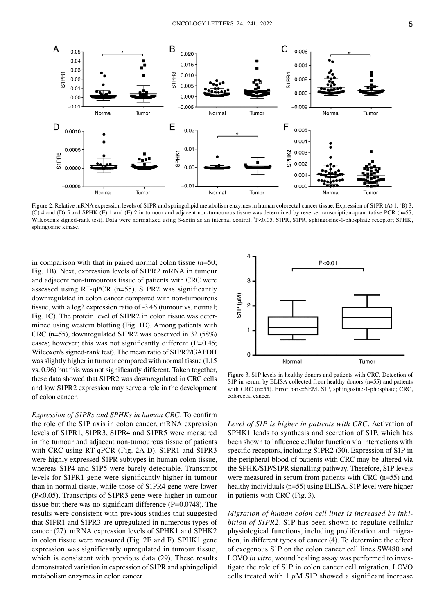

Figure 2. Relative mRNA expression levels of S1PR and sphingolipid metabolism enzymes in human colorectal cancer tissue. Expression of S1PR (A) 1, (B) 3, (C) 4 and (D) 5 and SPHK (E) 1 and (F) 2 in tumour and adjacent non-tumourous tissue was determined by reverse transcription-quantitative PCR (n=55; Wilcoxon's signed-rank test). Data were normalized using β-actin as an internal control. "P<0.05. S1PR, S1PR, sphingosine-1-phosphate receptor; SPHK, sphingosine kinase.

in comparison with that in paired normal colon tissue (n=50; Fig. 1B). Next, expression levels of S1PR2 mRNA in tumour and adjacent non‑tumourous tissue of patients with CRC were assessed using RT‑qPCR (n=55). S1PR2 was significantly downregulated in colon cancer compared with non-tumourous tissue, with a log2 expression ratio of ‑3.46 (tumour vs. normal; Fig. 1C). The protein level of S1PR2 in colon tissue was determined using western blotting (Fig. 1D). Among patients with CRC (n=55), downregulated S1PR2 was observed in 32 (58%) cases; however; this was not significantly different (P=0.45; Wilcoxon's signed-rank test). The mean ratio of S1PR2/GAPDH was slightly higher in tumour compared with normal tissue (1.15 vs. 0.96) but this was not significantly different. Taken together, these data showed that S1PR2 was downregulated in CRC cells and low S1PR2 expression may serve a role in the development of colon cancer.

*Expression of S1PRs and SPHKs in human CRC.* To confirm the role of the S1P axis in colon cancer, mRNA expression levels of S1PR1, S1PR3, S1PR4 and S1PR5 were measured in the tumour and adjacent non-tumourous tissue of patients with CRC using RT‑qPCR (Fig. 2A‑D). S1PR1 and S1PR3 were highly expressed S1PR subtypes in human colon tissue, whereas S1P4 and S1P5 were barely detectable. Transcript levels for S1PR1 gene were significantly higher in tumour than in normal tissue, while those of S1PR4 gene were lower (P<0.05). Transcripts of S1PR3 gene were higher in tumour tissue but there was no significant difference (P=0.0748). The results were consistent with previous studies that suggested that S1PR1 and S1PR3 are upregulated in numerous types of cancer (27). mRNA expression levels of SPHK1 and SPHK2 in colon tissue were measured (Fig. 2E and F). SPHK1 gene expression was significantly upregulated in tumour tissue, which is consistent with previous data (29). These results demonstrated variation in expression of S1PR and sphingolipid metabolism enzymes in colon cancer.



Figure 3. S1P levels in healthy donors and patients with CRC. Detection of S1P in serum by ELISA collected from healthy donors (n=55) and patients with CRC (n=55). Error bars=SEM. S1P, sphingosine-1-phosphate; CRC, colorectal cancer.

*Level of S1P is higher in patients with CRC.* Activation of SPHK1 leads to synthesis and secretion of S1P, which has been shown to influence cellular function via interactions with specific receptors, including S1PR2 (30). Expression of S1P in the peripheral blood of patients with CRC may be altered via the SPHK/S1P/S1PR signalling pathway. Therefore, S1P levels were measured in serum from patients with CRC (n=55) and healthy individuals (n=55) using ELISA. S1P level were higher in patients with CRC (Fig. 3).

*Migration of human colon cell lines is increased by inhi‑ bition of S1PR2.* S1P has been shown to regulate cellular physiological functions, including proliferation and migration, in different types of cancer (4). To determine the effect of exogenous S1P on the colon cancer cell lines SW480 and LOVO *in vitro*, wound healing assay was performed to investigate the role of S1P in colon cancer cell migration. LOVO cells treated with  $1 \mu M$  S1P showed a significant increase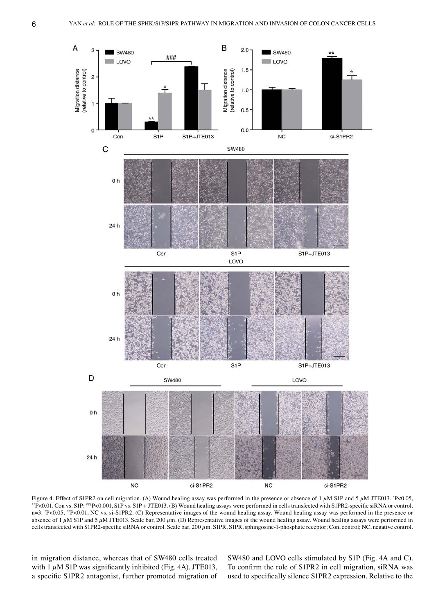

Figure 4. Effect of S1PR2 on cell migration. (A) Wound healing assay was performed in the presence or absence of 1  $\mu$ M S1P and 5  $\mu$ M JTE013. \*P<0.05, P<0.05, \*\*P<0.01, Con vs. S1P; ###P<0.001, S1P vs. S1P + JTE013. (B) Wound healing assays were performed in cells transfected with S1PR2‑specific siRNA or control. n=3. \* P<0.05, \*\*P<0.01, NC vs. si‑S1PR2. (C) Representative images of the wound healing assay. Wound healing assay was performed in the presence or absence of 1  $\mu$ M S1P and 5  $\mu$ M JTE013. Scale bar, 200  $\mu$ m. (D) Representative images of the wound healing assay. Wound healing assays were performed in cells transfected with S1PR2-specific siRNA or control. Scale bar, 200  $\mu$ m. S1PR, S1PR, sphingosine-1-phosphate receptor; Con, control; NC, negative control.

in migration distance, whereas that of SW480 cells treated with  $1 \mu$ M S1P was significantly inhibited (Fig. 4A). JTE013, a specific S1PR2 antagonist, further promoted migration of

SW480 and LOVO cells stimulated by S1P (Fig. 4A and C). To confirm the role of S1PR2 in cell migration, siRNA was used to specifically silence S1PR2 expression. Relative to the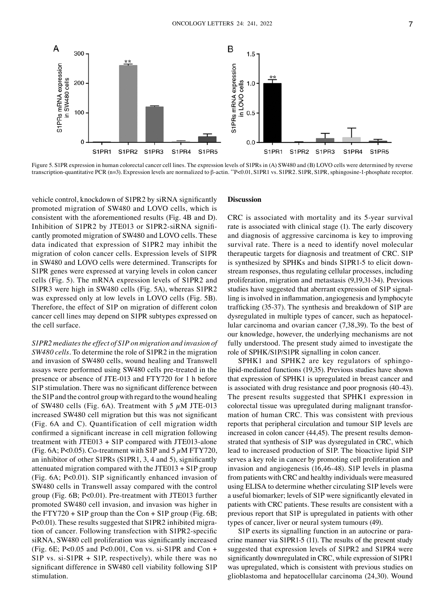

Figure 5. S1PR expression in human colorectal cancer cell lines. The expression levels of S1PRs in (A) SW480 and (B) LOVO cells were determined by reverse transcription‑quantitative PCR (n=3). Expression levels are normalized to β‑actin. \*\*P<0.01, S1PR1 vs. S1PR2. S1PR, S1PR, sphingosine‑1‑phosphate receptor.

vehicle control, knockdown of S1PR2 by siRNA significantly promoted migration of SW480 and LOVO cells, which is consistent with the aforementioned results (Fig. 4B and D). Inhibition of S1PR2 by JTE013 or S1PR2-siRNA significantly promoted migration of SW480 and LOVO cells. These data indicated that expression of S1PR2 may inhibit the migration of colon cancer cells. Expression levels of S1PR in SW480 and LOVO cells were determined. Transcripts for S1PR genes were expressed at varying levels in colon cancer cells (Fig. 5). The mRNA expression levels of S1PR2 and S1PR3 were high in SW480 cells (Fig. 5A), whereas S1PR2 was expressed only at low levels in LOVO cells (Fig. 5B). Therefore, the effect of S1P on migration of different colon cancer cell lines may depend on S1PR subtypes expressed on the cell surface.

*S1PR2 mediates the effect of S1P on migration and invasion of SW480 cells.* To determine the role of S1PR2 in the migration and invasion of SW480 cells, wound healing and Transwell assays were performed using SW480 cells pre‑treated in the presence or absence of JTE‑013 and FTY720 for 1 h before S1P stimulation. There was no significant difference between the S1P and the control group with regard to the wound healing of SW480 cells (Fig. 6A). Treatment with 5  $\mu$ M JTE-013 increased SW480 cell migration but this was not significant (Fig. 6A and C). Quantification of cell migration width confirmed a significant increase in cell migration following treatment with JTE013 + S1P compared with JTE013-alone (Fig. 6A; P<0.05). Co-treatment with S1P and 5  $\mu$ M FTY720, an inhibitor of other S1PRs (S1PR1, 3, 4 and 5), significantly attenuated migration compared with the JTE013 + S1P group (Fig. 6A; P<0.01). S1P significantly enhanced invasion of SW480 cells in Transwell assay compared with the control group (Fig. 6B; P<0.01). Pre‑treatment with JTE013 further promoted SW480 cell invasion, and invasion was higher in the FTY720 + S1P group than the Con + S1P group (Fig.  $6B$ ; P<0.01). These results suggested that S1PR2 inhibited migration of cancer. Following transfection with S1PR2‑specific siRNA, SW480 cell proliferation was significantly increased (Fig. 6E; P<0.05 and P<0.001, Con vs. si-S1PR and Con + S1P vs. si-S1PR + S1P, respectively), while there was no significant difference in SW480 cell viability following S1P stimulation.

#### **Discussion**

CRC is associated with mortality and its 5‑year survival rate is associated with clinical stage (1). The early discovery and diagnosis of aggressive carcinoma is key to improving survival rate. There is a need to identify novel molecular therapeutic targets for diagnosis and treatment of CRC. S1P is synthesized by SPHKs and binds S1PR1-5 to elicit downstream responses, thus regulating cellular processes, including proliferation, migration and metastasis (9,19,31‑34). Previous studies have suggested that aberrant expression of S1P signalling is involved in inflammation, angiogenesis and lymphocyte trafficking (35‑37). The synthesis and breakdown of S1P are dysregulated in multiple types of cancer, such as hepatocellular carcinoma and ovarian cancer (7,38,39). To the best of our knowledge, however, the underlying mechanisms are not fully understood. The present study aimed to investigate the role of SPHK/S1P/S1PR signalling in colon cancer.

SPHK1 and SPHK2 are key regulators of sphingolipid‑mediated functions (19,35). Previous studies have shown that expression of SPHK1 is upregulated in breast cancer and is associated with drug resistance and poor prognosis (40‑43). The present results suggested that SPHK1 expression in colorectal tissue was upregulated during malignant transformation of human CRC. This was consistent with previous reports that peripheral circulation and tumour S1P levels are increased in colon cancer (44,45). The present results demonstrated that synthesis of S1P was dysregulated in CRC, which lead to increased production of S1P. The bioactive lipid S1P serves a key role in cancer by promoting cell proliferation and invasion and angiogenesis (16,46‑48). S1P levels in plasma from patients with CRC and healthy individuals were measured using ELISA to determine whether circulating S1P levels were a useful biomarker; levels of S1P were significantly elevated in patients with CRC patients. These results are consistent with a previous report that S1P is upregulated in patients with other types of cancer, liver or neural system tumours (49).

S1P exerts its signalling function in an autocrine or para– crine manner via S1PR1-5 (11). The results of the present study suggested that expression levels of S1PR2 and S1PR4 were significantly downregulated in CRC, while expression of S1PR1 was upregulated, which is consistent with previous studies on glioblastoma and hepatocellular carcinoma (24,30). Wound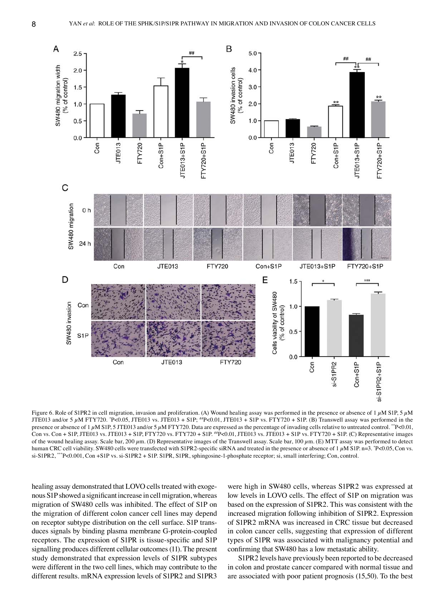

Figure 6. Role of S1PR2 in cell migration, invasion and proliferation. (A) Wound healing assay was performed in the presence or absence of 1  $\mu$ M S1P, 5  $\mu$ M JTE013 and/or 5 µM FTY720. "P<0.05, JTE013 vs. JTE013 + S1P; "P<0.01, JTE013 + S1P vs. FTY720 + S1P. (B) Transwell assay was performed in the presence or absence of  $1 \mu$ M S1P, 5 JTE013 and/or 5  $\mu$ M FTY720. Data are expressed as the percentage of invading cells relative to untreated control. \*\*P<0.01, Con vs. Con + S1P, JTE013 vs. JTE013 + S1P, FTY720 vs. FTY720 + S1P. ##P<0.01, JTE013 vs. JTE013 + S1P vs. FTY720 + S1P. (C) Representative images of the wound healing assay. Scale bar, 200  $\mu$ m. (D) Representative images of the Transwell assay. Scale bar, 100  $\mu$ m. (E) MTT assay was performed to detect human CRC cell viability. SW480 cells were transfected with S1PR2-specific siRNA and treated in the presence or absence of  $1 \mu$ M S1P. n=3. \*P<0.05, Con vs. si-S1PR2, \*\*\*P<0.001, Con +S1P vs. si-S1PR2 + S1P. S1PR, S1PR, sphingosine-1-phosphate receptor; si, small interfering; Con, control.

healing assay demonstrated that LOVO cells treated with exogenous S1P showed a significant increase in cell migration, whereas migration of SW480 cells was inhibited. The effect of S1P on the migration of different colon cancer cell lines may depend on receptor subtype distribution on the cell surface. S1P transduces signals by binding plasma membrane G‑protein‑coupled receptors. The expression of S1PR is tissue‑specific and S1P signalling produces different cellular outcomes(11). The present study demonstrated that expression levels of S1PR subtypes were different in the two cell lines, which may contribute to the different results. mRNA expression levels of S1PR2 and S1PR3

were high in SW480 cells, whereas S1PR2 was expressed at low levels in LOVO cells. The effect of S1P on migration was based on the expression of S1PR2. This was consistent with the increased migration following inhibition of S1PR2. Expression of S1PR2 mRNA was increased in CRC tissue but decreased in colon cancer cells, suggesting that expression of different types of S1PR was associated with malignancy potential and confirming that SW480 has a low metastatic ability.

S1PR2 levels have previously been reported to be decreased in colon and prostate cancer compared with normal tissue and are associated with poor patient prognosis (15,50). To the best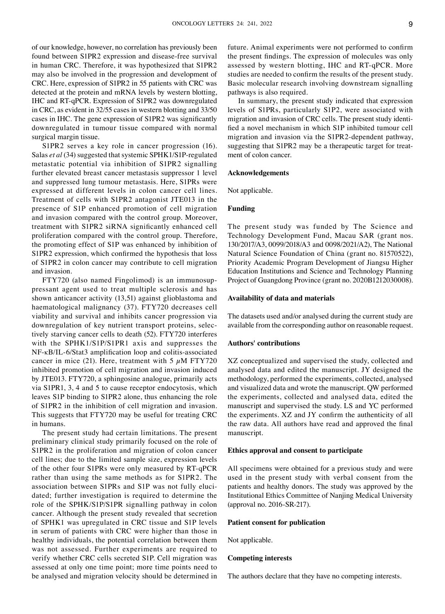of our knowledge, however, no correlation has previously been found between S1PR2 expression and disease-free survival in human CRC. Therefore, it was hypothesized that S1PR2 may also be involved in the progression and development of CRC. Here, expression of S1PR2 in 55 patients with CRC was detected at the protein and mRNA levels by western blotting, IHC and RT‑qPCR. Expression of S1PR2 was downregulated in CRC, as evident in 32/55 cases in western blotting and 33/50 cases in IHC. The gene expression of S1PR2 was significantly downregulated in tumour tissue compared with normal surgical margin tissue.

S1PR2 serves a key role in cancer progression (16). Salas *et al* (34) suggested that systemic SPHK1/S1P‑regulated metastatic potential via inhibition of S1PR2 signalling further elevated breast cancer metastasis suppressor 1 level and suppressed lung tumour metastasis. Here, S1PRs were expressed at different levels in colon cancer cell lines. Treatment of cells with S1PR2 antagonist JTE013 in the presence of S1P enhanced promotion of cell migration and invasion compared with the control group. Moreover, treatment with S1PR2 siRNA significantly enhanced cell proliferation compared with the control group. Therefore, the promoting effect of S1P was enhanced by inhibition of S1PR2 expression, which confirmed the hypothesis that loss of S1PR2 in colon cancer may contribute to cell migration and invasion.

FTY720 (also named Fingolimod) is an immunosuppressant agent used to treat multiple sclerosis and has shown anticancer activity (13,51) against glioblastoma and haematological malignancy (37). FTY720 decreases cell viability and survival and inhibits cancer progression via downregulation of key nutrient transport proteins, selectively starving cancer cells to death (52). FTY720 interferes with the SPHK1/S1P/S1PR1 axis and suppresses the NF‑κB/IL‑6/Stat3 amplification loop and colitis‑associated cancer in mice (21). Here, treatment with 5  $\mu$ M FTY720 inhibited promotion of cell migration and invasion induced by JTE013. FTY720, a sphingosine analogue, primarily acts via S1PR1, 3, 4 and 5 to cause receptor endocytosis, which leaves S1P binding to S1PR2 alone, thus enhancing the role of S1PR2 in the inhibition of cell migration and invasion. This suggests that FTY720 may be useful for treating CRC in humans.

The present study had certain limitations. The present preliminary clinical study primarily focused on the role of S1PR2 in the proliferation and migration of colon cancer cell lines; due to the limited sample size, expression levels of the other four S1PRs were only measured by RT‑qPCR rather than using the same methods as for S1PR2. The association between S1PRs and S1P was not fully elucidated; further investigation is required to determine the role of the SPHK/S1P/S1PR signalling pathway in colon cancer. Although the present study revealed that secretion of SPHK1 was upregulated in CRC tissue and S1P levels in serum of patients with CRC were higher than those in healthy individuals, the potential correlation between them was not assessed. Further experiments are required to verify whether CRC cells secreted S1P. Cell migration was assessed at only one time point; more time points need to be analysed and migration velocity should be determined in future. Animal experiments were not performed to confirm the present findings. The expression of molecules was only assessed by western blotting, IHC and RT‑qPCR. More studies are needed to confirm the results of the present study. Basic molecular research involving downstream signalling pathways is also required.

In summary, the present study indicated that expression levels of S1PRs, particularly S1P2, were associated with migration and invasion of CRC cells. The present study identified a novel mechanism in which S1P inhibited tumour cell migration and invasion via the S1PR2‑dependent pathway, suggesting that S1PR2 may be a therapeutic target for treatment of colon cancer.

#### **Acknowledgements**

Not applicable.

# **Funding**

The present study was funded by The Science and Technology Development Fund, Macau SAR (grant nos. 130/2017/A3, 0099/2018/A3 and 0098/2021/A2), The National Natural Science Foundation of China (grant no. 81570522), Priority Academic Program Development of Jiangsu Higher Education Institutions and Science and Technology Planning Project of Guangdong Province (grant no. 2020B1212030008).

#### **Availability of data and materials**

The datasets used and/or analysed during the current study are available from the corresponding author on reasonable request.

# **Authors' contributions**

XZ conceptualized and supervised the study, collected and analysed data and edited the manuscript. JY designed the methodology, performed the experiments, collected, analysed and visualized data and wrote the manuscript. QW performed the experiments, collected and analysed data, edited the manuscript and supervised the study. LS and YC performed the experiments. XZ and JY confirm the authenticity of all the raw data. All authors have read and approved the final manuscript.

#### **Ethics approval and consent to participate**

All specimens were obtained for a previous study and were used in the present study with verbal consent from the patients and healthy donors. The study was approved by the Institutional Ethics Committee of Nanjing Medical University (approval no. 2016‑SR‑217).

## **Patient consent for publication**

Not applicable.

# **Competing interests**

The authors declare that they have no competing interests.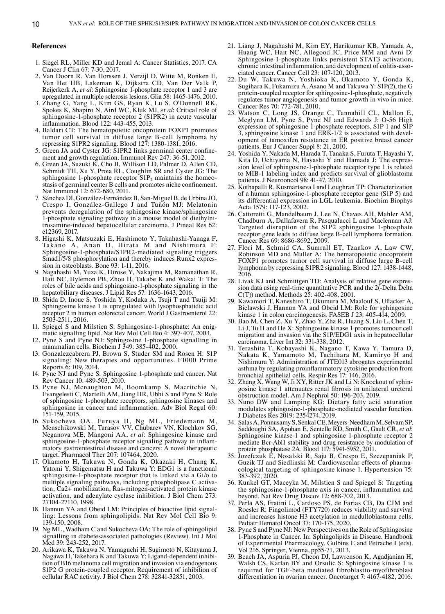#### **References**

- 1. Siegel RL, Miller KD and Jemal A: Cancer Statistics, 2017. CA Cancer J Clin 67: 7‑30, 2017.
- 2. Van Doorn R, Van Horssen J, Verzijl D, Witte M, Ronken E, Van Het HB, Lakeman K, Dijkstra CD, Van Der Valk P, Reijerkerk A, *et al*: Sphingosine 1‑phosphate receptor 1 and 3 are upregulated in multiple sclerosis lesions. Glia 58: 1465‑1476, 2010.
- 3. Zhang G, Yang L, Kim GS, Ryan K, Lu S, O'Donnell RK, Spokes K, Shapiro N, Aird WC, Kluk MJ, *et al*: Critical role of sphingosine-1-phosphate receptor 2 (S1PR2) in acute vascular inflammation. Blood 122: 443‑455, 2013.
- 4. Baldari CT: The hematopoietic oncoprotein FOXP1 promotes tumor cell survival in diffuse large B‑cell lymphoma by repressing S1PR2 signaling. Blood 127: 1380‑1381, 2016.
- 5. Green JA and Cyster JG: S1PR2 links germinal center confine‑ ment and growth regulation. Immunol Rev 247: 36‑51, 2012.
- 6. Green JA, Suzuki K, Cho B, Willison LD, Palmer D, Allen CD, Schmidt TH, Xu Y, Proia RL, Coughlin SR and Cyster JG: The sphingosine 1-phosphate receptor  $S1P_2$  maintains the homeostasis of germinal center B cells and promotes niche confinement. Nat Immunol 12: 672‑680, 2011.
- 7. Sánchez DI, González‑Fernández B, San‑Miguel B, de Urbina JO, Crespo I, González‑Gallego J and Tuñón MJ: Melatonin prevents deregulation of the sphingosine kinase/sphingosine 1‑phosphate signaling pathway in a mouse model of diethylni‑ trosamine‑induced hepatocellular carcinoma. J Pineal Res 62: e12369, 2017.
- 8. Higashi K, Matsuzaki E, Hashimoto Y, Takahashi‑Yanaga F, Takano A, Anan H, Hirata M and Nishimura F: Sphingosine‑1‑phosphate/S1PR2‑mediated signaling triggers Smad1/5/8 phosphorylation and thereby induces Runx2 expression in osteoblasts. Bone 93: 1-11, 2016.
- 9. Nagahashi M, Yuza K, Hirose Y, Nakajima M, Ramanathan R, Hait NC, Hylemon PB, Zhou H, Takabe K and Wakai T: The roles of bile acids and sphingosine‑1‑phosphate signaling in the hepatobiliary diseases. J Lipid Res 57: 1636‑1643, 2016.
- 10. Shida D, Inoue S, Yoshida Y, Kodaka A, Tsuji T and Tsuiji M: Sphingosine kinase 1 is upregulated with lysophosphatidic acid receptor 2 in human colorectal cancer. World J Gastroenterol 22: 2503‑2511, 2016.
- 11. Spiegel S and Milstien S: Sphingosine-1-phosphate: An enigmatic signalling lipid. Nat Rev Mol Cell Bio 4: 397‑407, 2003.
- 12. Pyne S and Pyne NJ: Sphingosine 1‑phosphate signalling in mammalian cells. Biochem J 349: 385‑402, 2000.
- 13. Gonzalezcabrera PJ, Brown S, Studer SM and Rosen H: S1P signaling: New therapies and opportunities. F1000 Prime Reports 6: 109, 2014.
- 14. Pyne NJ and Pyne S: Sphingosine 1‑phosphate and cancer. Nat Rev Cancer 10: 489‑503, 2010.
- 15. Pyne NJ, Mcnaughton M, Boomkamp S, Macritchie N, Evangelesti C, Martelli AM, Jiang HR, Ubhi S and Pyne S: Role of sphingosine 1‑phosphate receptors, sphingosine kinases and sphingosine in cancer and inflammation. Adv Biol Regul 60: 151‑159, 2015.
- 16. Sukocheva OA, Furuya H, Ng ML, Friedemann M, Menschikowski M, Tarasov VV, Chubarev VN, Klochkov SG, Neganova ME, Mangoni AA, *et al*: Sphingosine kinase and sphingosine-1-phosphate receptor signaling pathway in inflammatory gastrointestinal disease and cancers: A novel therapeutic target. Pharmacol Ther 207: 107464, 2020.
- 17. Okamoto H, Takuwa N, Gonda K, Okazaki H, Chang K, Yatomi Y, Shigematsu H and Takuwa Y: EDG1 is a functional sphingosine-1-phosphate receptor that is linked via a Gi/o to multiple signaling pathways, including phospholipase C activation, Ca2+ mobilization, Ras‑mitogen‑activated protein kinase activation, and adenylate cyclase inhibition. J Biol Chem 273: 27104‑27110, 1998.
- 18. Hannun YA and Obeid LM: Principles of bioactive lipid signalling: Lessons from sphingolipids. Nat Rev Mol Cell Bio 9: 139‑150, 2008.
- 19. Ng ML, Wadham C and Sukocheva OA: The role of sphingolipid signalling in diabetesassociated pathologies (Review). Int J Mol Med 39: 243‑252, 2017.
- 20. Arikawa K, Takuwa N, Yamaguchi H, Sugimoto N, Kitayama J, Nagawa H, Takehara K and Takuwa Y: Ligand-dependent inhibition of B16 melanoma cell migration and invasion via endogenous S1P2 G protein-coupled receptor. Requirement of inhibition of cellular RAC activity. J Biol Chem 278: 32841‑32851, 2003.
- 21. Liang J, Nagahashi M, Kim EY, Harikumar KB, Yamada A, Huang WC, Hait NC, Allegood JC, Price MM and Avni D: Sphingosine-1-phosphate links persistent STAT3 activation, chronic intestinal inflammation, and development of colitis-asso-<br>ciated cancer. Cancer Cell 23: 107-120, 2013.
- 22. Du W, Takuwa N, Yoshioka K, Okamoto Y, Gonda K, Sugihara K, Fukamizu A, Asano M and Takuwa Y: S1P(2), the G protein‑coupled receptor for sphingosine‑1‑phosphate, negatively regulates tumor angiogenesis and tumor growth in vivo in mice. Cancer Res 70: 772‑781, 2010.
- 23. Watson C, Long JS, Orange C, Tannahill CL, Mallon E, Mcglynn LM, Pyne S, Pyne NJ and Edwards J: O‑56 High expression of sphingosine 1-phosphate receptors, S1P 1 and S1P 3, sphingosine kinase 1 and ERK-1/2 is associated with development of tamoxifen resistance in ER positive breast cancer patients. Eur J Cancer Suppl 8: 21, 2010.
- 24. Yoshida Y, Nakada M, Harada T, Tanaka S, Furuta T, Hayashi Y, sion level of sphingosine-1-phosphate receptor type 1 is related to MIB‑1 labeling index and predicts survival of glioblastoma patients. J Neurooncol 98: 41‑47, 2010.
- 25. Kothapalli R, Kusmartseva I and Loughran TP: Characterization of a human sphingosine‑1‑phosphate receptor gene (S1P 5) and its differential expression in LGL leukemia. Biochim Biophys Acta 1579: 117‑123, 2002.
- 26. Cattoretti G, Mandelbaum J, Lee N, Chaves AH, Mahler AM, Chadburn A, Dallafavera R, Pasqualucci L and Maclennan AJ: Targeted disruption of the S1P2 sphingosine 1-phosphate receptor gene leads to diffuse large B-cell lymphoma formation. Cancer Res 69: 8686‑8692, 2009.
- 27. Flori M, Schmid CA, Sumrall ET, Tzankov A, Law CW, Robinson MD and Muller A: The hematopoietic oncoprotein FOXP1 promotes tumor cell survival in diffuse large B-cell lymphoma by repressing S1PR2 signaling. Blood 127: 1438-1448, 2016.
- 28. Livak KJ and Schmittgen TD: Analysis of relative gene expression data using real-time quantitative PCR and the 2(-Delta Delta C(T)) method. Methods 25: 402‑408, 2001.
- 29. Kawamori T, Kaneshiro T, Okumura M, Maalouf S, Uflacker A, Bielawski J, Hannun YA and Obeid LM: Role for sphingosine kinase 1 in colon carcinogenesis. FASEB J 23: 405‑414, 2009.
- 30. Bao M, Chen Z, Xu Y, Zhao Y, Zha R, Huang S, Liu L, Chen T, Li J, Tu H and He X: Sphingosine kinase 1 promotes tumour cell migration and invasion via the S1P/EDG1 axis in hepatocellular carcinoma. Liver Int 32: 331‑338, 2012.
- 31. Terashita T, Kobayashi K, Nagano T, Kawa Y, Tamura D, Nakata K, Yamamoto M, Tachihara M, Kamiryo H and Nishimura Y: Administration of JTE013 abrogates experimental asthma by regulating proinflammatory cytokine production from bronchial epithelial cells. Respir Res 17: 146, 2016.
- 32. Zhang X, Wang W, Ji XY, Ritter JK and Li N: Knockout of sphingosine kinase 1 attenuates renal fibrosis in unilateral ureteral obstruction model. Am J Nephrol 50: 196‑203, 2019.
- 33. Nuno DW and Lamping KG: Dietary fatty acid saturation modulates sphingosine‑1‑phosphate‑mediated vascular function. J Diabetes Res 2019: 2354274, 2019.
- 34. Salas A, Ponnusamy S, Senkal CE, Meyers-Needham M, Selvam SP, Saddoughi SA, Apohan E, Sentelle RD, Smith C, Gault CR, et al: Sphingosine kinase-1 and sphingosine 1‐phosphate receptor 2 mediate Bcr‑Abl1 stability and drug resistance by modulation of protein phosphatase 2A. Blood 117: 5941‑5952, 2011.
- 35. Jozefczuk E, Nosalski R, Saju B, Crespo E, Szczepaniak P, Guzik TJ and Siedlinski M: Cardiovascular effects of pharmacological targeting of sphingosine kinase 1. Hypertension 75: 383‑392, 2020.
- 36. Kunkel GT, Maceyka M, Milstien S and Spiegel S: Targeting the sphingosine‑1‑phosphate axis in cancer, inflammation and beyond. Nat Rev Drug Discov 12: 688‑702, 2013.
- 37. Perla AS, Fratini L, Cardoso PS, de Farias CB, Da CJM and Roesler R: Fingolimod (FTY720) reduces viability and survival and increases histone H3 acetylation in medulloblastoma cells. Pediatr Hematol Oncol 37: 170‑175, 2020.
- 38. Pyne S and Pyne NJ: New Perspectives on the Role of Sphingosine 1-Phosphate in Cancer. In: Sphingolipids in Disease. Handbook of Experimental Pharmacology. Gulbins E and Petrache I (eds). Vol 216. Springer, Vienna, pp55-71, 2013.
- 39. Beach JA, Aspuria PJ, Cheon DJ, Lawrenson K, Agadjanian H, Walsh CS, Karlan BY and Orsulic S: Sphingosine kinase 1 is required for TGF‑beta mediated fibroblastto‑myofibroblast differentiation in ovarian cancer. Oncotarget 7: 4167‑4182, 2016.